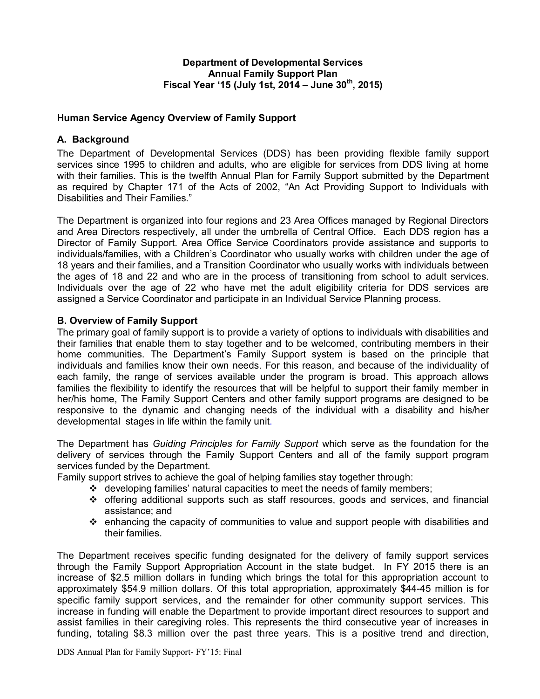## Department of Developmental Services Annual Family Support Plan Fiscal Year '15 (July 1st, 2014 – June  $30^{th}$ , 2015)

## Human Service Agency Overview of Family Support

## A. Background

The Department of Developmental Services (DDS) has been providing flexible family support services since 1995 to children and adults, who are eligible for services from DDS living at home with their families. This is the twelfth Annual Plan for Family Support submitted by the Department as required by Chapter 171 of the Acts of 2002, "An Act Providing Support to Individuals with Disabilities and Their Families."

The Department is organized into four regions and 23 Area Offices managed by Regional Directors and Area Directors respectively, all under the umbrella of Central Office. Each DDS region has a Director of Family Support. Area Office Service Coordinators provide assistance and supports to individuals/families, with a Children's Coordinator who usually works with children under the age of 18 years and their families, and a Transition Coordinator who usually works with individuals between the ages of 18 and 22 and who are in the process of transitioning from school to adult services. Individuals over the age of 22 who have met the adult eligibility criteria for DDS services are assigned a Service Coordinator and participate in an Individual Service Planning process.

## B. Overview of Family Support

The primary goal of family support is to provide a variety of options to individuals with disabilities and their families that enable them to stay together and to be welcomed, contributing members in their home communities. The Department's Family Support system is based on the principle that individuals and families know their own needs. For this reason, and because of the individuality of each family, the range of services available under the program is broad. This approach allows families the flexibility to identify the resources that will be helpful to support their family member in her/his home, The Family Support Centers and other family support programs are designed to be responsive to the dynamic and changing needs of the individual with a disability and his/her developmental stages in life within the family unit.

The Department has Guiding Principles for Family Support which serve as the foundation for the delivery of services through the Family Support Centers and all of the family support program services funded by the Department.

Family support strives to achieve the goal of helping families stay together through:

- $\div$  developing families' natural capacities to meet the needs of family members;
- $\div$  offering additional supports such as staff resources, goods and services, and financial assistance; and
- $\div$  enhancing the capacity of communities to value and support people with disabilities and their families.

The Department receives specific funding designated for the delivery of family support services through the Family Support Appropriation Account in the state budget. In FY 2015 there is an increase of \$2.5 million dollars in funding which brings the total for this appropriation account to approximately \$54.9 million dollars. Of this total appropriation, approximately \$44-45 million is for specific family support services, and the remainder for other community support services. This increase in funding will enable the Department to provide important direct resources to support and assist families in their caregiving roles. This represents the third consecutive year of increases in funding, totaling \$8.3 million over the past three years. This is a positive trend and direction,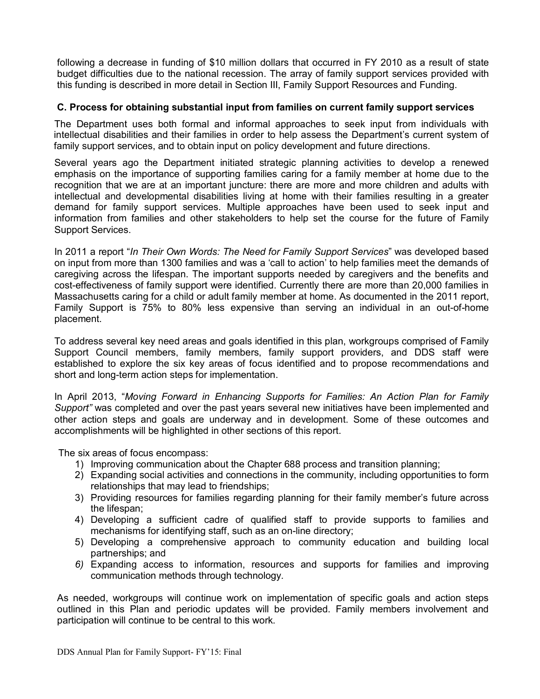following a decrease in funding of \$10 million dollars that occurred in FY 2010 as a result of state budget difficulties due to the national recession. The array of family support services provided with this funding is described in more detail in Section III, Family Support Resources and Funding.

## C. Process for obtaining substantial input from families on current family support services

The Department uses both formal and informal approaches to seek input from individuals with intellectual disabilities and their families in order to help assess the Department's current system of family support services, and to obtain input on policy development and future directions.

Several years ago the Department initiated strategic planning activities to develop a renewed emphasis on the importance of supporting families caring for a family member at home due to the recognition that we are at an important juncture: there are more and more children and adults with intellectual and developmental disabilities living at home with their families resulting in a greater demand for family support services. Multiple approaches have been used to seek input and information from families and other stakeholders to help set the course for the future of Family Support Services.

In 2011 a report "In Their Own Words: The Need for Family Support Services" was developed based on input from more than 1300 families and was a 'call to action' to help families meet the demands of caregiving across the lifespan. The important supports needed by caregivers and the benefits and cost-effectiveness of family support were identified. Currently there are more than 20,000 families in Massachusetts caring for a child or adult family member at home. As documented in the 2011 report, Family Support is 75% to 80% less expensive than serving an individual in an out-of-home placement.

To address several key need areas and goals identified in this plan, workgroups comprised of Family Support Council members, family members, family support providers, and DDS staff were established to explore the six key areas of focus identified and to propose recommendations and short and long-term action steps for implementation.

In April 2013, "Moving Forward in Enhancing Supports for Families: An Action Plan for Family Support" was completed and over the past years several new initiatives have been implemented and other action steps and goals are underway and in development. Some of these outcomes and accomplishments will be highlighted in other sections of this report.

The six areas of focus encompass:

- 1) Improving communication about the Chapter 688 process and transition planning;
- 2) Expanding social activities and connections in the community, including opportunities to form relationships that may lead to friendships;
- 3) Providing resources for families regarding planning for their family member's future across the lifespan;
- 4) Developing a sufficient cadre of qualified staff to provide supports to families and mechanisms for identifying staff, such as an on-line directory;
- 5) Developing a comprehensive approach to community education and building local partnerships; and
- 6) Expanding access to information, resources and supports for families and improving communication methods through technology.

As needed, workgroups will continue work on implementation of specific goals and action steps outlined in this Plan and periodic updates will be provided. Family members involvement and participation will continue to be central to this work.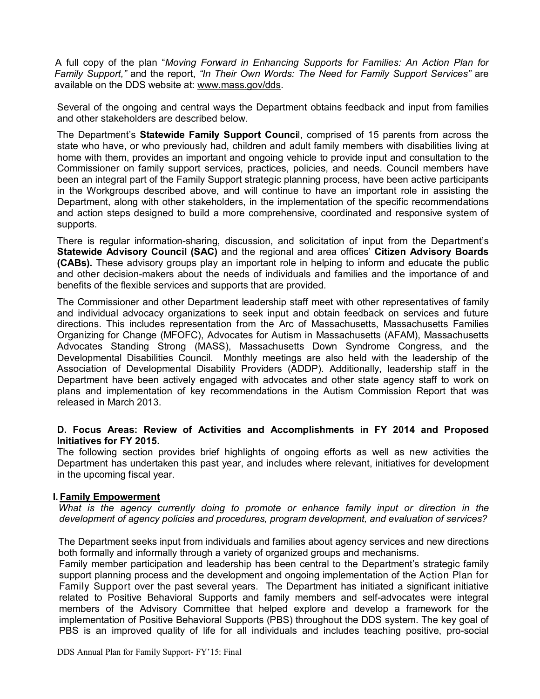A full copy of the plan "Moving Forward in Enhancing Supports for Families: An Action Plan for Family Support," and the report, "In Their Own Words: The Need for Family Support Services" are available on the DDS website at: www.mass.gov/dds.

Several of the ongoing and central ways the Department obtains feedback and input from families and other stakeholders are described below.

The Department's Statewide Family Support Council, comprised of 15 parents from across the state who have, or who previously had, children and adult family members with disabilities living at home with them, provides an important and ongoing vehicle to provide input and consultation to the Commissioner on family support services, practices, policies, and needs. Council members have been an integral part of the Family Support strategic planning process, have been active participants in the Workgroups described above, and will continue to have an important role in assisting the Department, along with other stakeholders, in the implementation of the specific recommendations and action steps designed to build a more comprehensive, coordinated and responsive system of supports.

There is regular information-sharing, discussion, and solicitation of input from the Department's Statewide Advisory Council (SAC) and the regional and area offices' Citizen Advisory Boards (CABs). These advisory groups play an important role in helping to inform and educate the public and other decision-makers about the needs of individuals and families and the importance of and benefits of the flexible services and supports that are provided.

The Commissioner and other Department leadership staff meet with other representatives of family and individual advocacy organizations to seek input and obtain feedback on services and future directions. This includes representation from the Arc of Massachusetts, Massachusetts Families Organizing for Change (MFOFC), Advocates for Autism in Massachusetts (AFAM), Massachusetts Advocates Standing Strong (MASS), Massachusetts Down Syndrome Congress, and the Developmental Disabilities Council. Monthly meetings are also held with the leadership of the Association of Developmental Disability Providers (ADDP). Additionally, leadership staff in the Department have been actively engaged with advocates and other state agency staff to work on plans and implementation of key recommendations in the Autism Commission Report that was released in March 2013.

## D. Focus Areas: Review of Activities and Accomplishments in FY 2014 and Proposed Initiatives for FY 2015.

The following section provides brief highlights of ongoing efforts as well as new activities the Department has undertaken this past year, and includes where relevant, initiatives for development in the upcoming fiscal year.

#### I. Family Empowerment

What is the agency currently doing to promote or enhance family input or direction in the development of agency policies and procedures, program development, and evaluation of services?

The Department seeks input from individuals and families about agency services and new directions both formally and informally through a variety of organized groups and mechanisms.

Family member participation and leadership has been central to the Department's strategic family support planning process and the development and ongoing implementation of the Action Plan for Family Support over the past several years. The Department has initiated a significant initiative related to Positive Behavioral Supports and family members and self-advocates were integral members of the Advisory Committee that helped explore and develop a framework for the implementation of Positive Behavioral Supports (PBS) throughout the DDS system. The key goal of PBS is an improved quality of life for all individuals and includes teaching positive, pro-social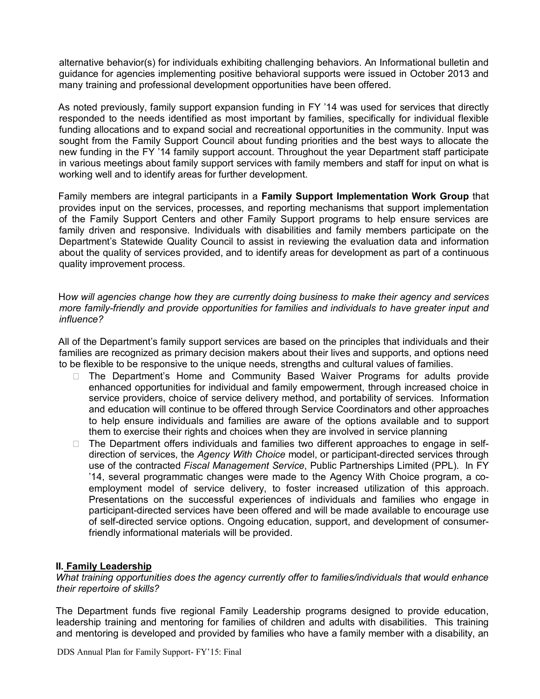alternative behavior(s) for individuals exhibiting challenging behaviors. An Informational bulletin and guidance for agencies implementing positive behavioral supports were issued in October 2013 and many training and professional development opportunities have been offered.

As noted previously, family support expansion funding in FY '14 was used for services that directly responded to the needs identified as most important by families, specifically for individual flexible funding allocations and to expand social and recreational opportunities in the community. Input was sought from the Family Support Council about funding priorities and the best ways to allocate the new funding in the FY '14 family support account. Throughout the year Department staff participate in various meetings about family support services with family members and staff for input on what is working well and to identify areas for further development.

Family members are integral participants in a Family Support Implementation Work Group that provides input on the services, processes, and reporting mechanisms that support implementation of the Family Support Centers and other Family Support programs to help ensure services are family driven and responsive. Individuals with disabilities and family members participate on the Department's Statewide Quality Council to assist in reviewing the evaluation data and information about the quality of services provided, and to identify areas for development as part of a continuous quality improvement process.

How will agencies change how they are currently doing business to make their agency and services more family-friendly and provide opportunities for families and individuals to have greater input and influence?

All of the Department's family support services are based on the principles that individuals and their families are recognized as primary decision makers about their lives and supports, and options need to be flexible to be responsive to the unique needs, strengths and cultural values of families.

 The Department's Home and Community Based Waiver Programs for adults provide enhanced opportunities for individual and family empowerment, through increased choice in service providers, choice of service delivery method, and portability of services. Information and education will continue to be offered through Service Coordinators and other approaches to help ensure individuals and families are aware of the options available and to support them to exercise their rights and choices when they are involved in service planning

 The Department offers individuals and families two different approaches to engage in selfdirection of services, the Agency With Choice model, or participant-directed services through use of the contracted Fiscal Management Service, Public Partnerships Limited (PPL). In FY '14, several programmatic changes were made to the Agency With Choice program, a coemployment model of service delivery, to foster increased utilization of this approach. Presentations on the successful experiences of individuals and families who engage in participant-directed services have been offered and will be made available to encourage use of self-directed service options. Ongoing education, support, and development of consumerfriendly informational materials will be provided.

#### II. Family Leadership

What training opportunities does the agency currently offer to families/individuals that would enhance their repertoire of skills?

The Department funds five regional Family Leadership programs designed to provide education, leadership training and mentoring for families of children and adults with disabilities. This training and mentoring is developed and provided by families who have a family member with a disability, an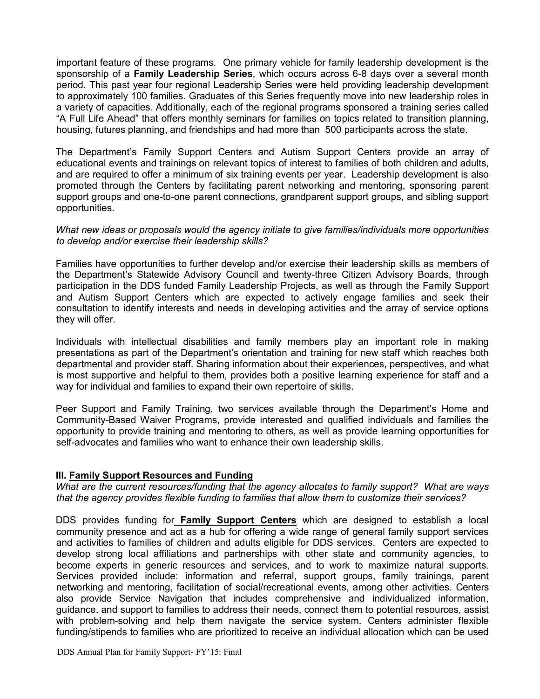important feature of these programs. One primary vehicle for family leadership development is the sponsorship of a Family Leadership Series, which occurs across 6-8 days over a several month period. This past year four regional Leadership Series were held providing leadership development to approximately 100 families. Graduates of this Series frequently move into new leadership roles in a variety of capacities. Additionally, each of the regional programs sponsored a training series called "A Full Life Ahead" that offers monthly seminars for families on topics related to transition planning, housing, futures planning, and friendships and had more than 500 participants across the state.

The Department's Family Support Centers and Autism Support Centers provide an array of educational events and trainings on relevant topics of interest to families of both children and adults, and are required to offer a minimum of six training events per year. Leadership development is also promoted through the Centers by facilitating parent networking and mentoring, sponsoring parent support groups and one-to-one parent connections, grandparent support groups, and sibling support opportunities.

#### What new ideas or proposals would the agency initiate to give families/individuals more opportunities to develop and/or exercise their leadership skills?

Families have opportunities to further develop and/or exercise their leadership skills as members of the Department's Statewide Advisory Council and twenty-three Citizen Advisory Boards, through participation in the DDS funded Family Leadership Projects, as well as through the Family Support and Autism Support Centers which are expected to actively engage families and seek their consultation to identify interests and needs in developing activities and the array of service options they will offer.

Individuals with intellectual disabilities and family members play an important role in making presentations as part of the Department's orientation and training for new staff which reaches both departmental and provider staff. Sharing information about their experiences, perspectives, and what is most supportive and helpful to them, provides both a positive learning experience for staff and a way for individual and families to expand their own repertoire of skills.

Peer Support and Family Training, two services available through the Department's Home and Community-Based Waiver Programs, provide interested and qualified individuals and families the opportunity to provide training and mentoring to others, as well as provide learning opportunities for self-advocates and families who want to enhance their own leadership skills.

#### III. Family Support Resources and Funding

What are the current resources/funding that the agency allocates to family support? What are ways that the agency provides flexible funding to families that allow them to customize their services?

DDS provides funding for **Family Support Centers** which are designed to establish a local community presence and act as a hub for offering a wide range of general family support services and activities to families of children and adults eligible for DDS services. Centers are expected to develop strong local affiliations and partnerships with other state and community agencies, to become experts in generic resources and services, and to work to maximize natural supports. Services provided include: information and referral, support groups, family trainings, parent networking and mentoring, facilitation of social/recreational events, among other activities. Centers also provide Service Navigation that includes comprehensive and individualized information, guidance, and support to families to address their needs, connect them to potential resources, assist with problem-solving and help them navigate the service system. Centers administer flexible funding/stipends to families who are prioritized to receive an individual allocation which can be used

DDS Annual Plan for Family Support- FY'15: Final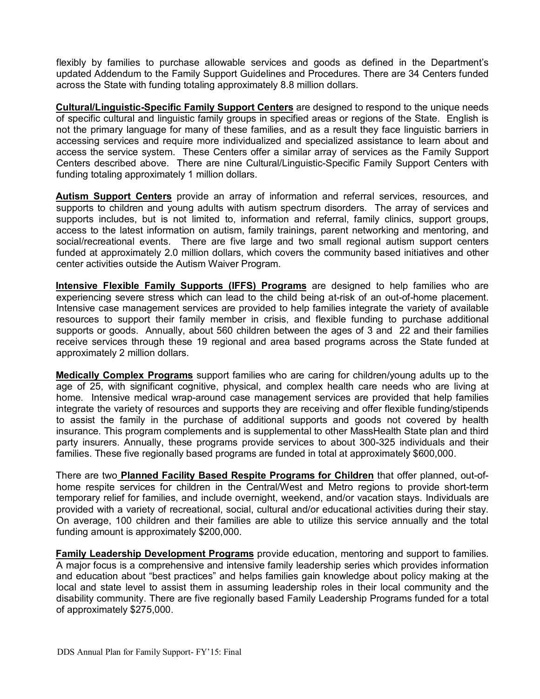flexibly by families to purchase allowable services and goods as defined in the Department's updated Addendum to the Family Support Guidelines and Procedures. There are 34 Centers funded across the State with funding totaling approximately 8.8 million dollars.

Cultural/Linguistic-Specific Family Support Centers are designed to respond to the unique needs of specific cultural and linguistic family groups in specified areas or regions of the State. English is not the primary language for many of these families, and as a result they face linguistic barriers in accessing services and require more individualized and specialized assistance to learn about and access the service system. These Centers offer a similar array of services as the Family Support Centers described above. There are nine Cultural/Linguistic-Specific Family Support Centers with funding totaling approximately 1 million dollars.

Autism Support Centers provide an array of information and referral services, resources, and supports to children and young adults with autism spectrum disorders. The array of services and supports includes, but is not limited to, information and referral, family clinics, support groups, access to the latest information on autism, family trainings, parent networking and mentoring, and social/recreational events. There are five large and two small regional autism support centers funded at approximately 2.0 million dollars, which covers the community based initiatives and other center activities outside the Autism Waiver Program.

Intensive Flexible Family Supports (IFFS) Programs are designed to help families who are experiencing severe stress which can lead to the child being at-risk of an out-of-home placement. Intensive case management services are provided to help families integrate the variety of available resources to support their family member in crisis, and flexible funding to purchase additional supports or goods. Annually, about 560 children between the ages of 3 and 22 and their families receive services through these 19 regional and area based programs across the State funded at approximately 2 million dollars.

Medically Complex Programs support families who are caring for children/young adults up to the age of 25, with significant cognitive, physical, and complex health care needs who are living at home. Intensive medical wrap-around case management services are provided that help families integrate the variety of resources and supports they are receiving and offer flexible funding/stipends to assist the family in the purchase of additional supports and goods not covered by health insurance. This program complements and is supplemental to other MassHealth State plan and third party insurers. Annually, these programs provide services to about 300-325 individuals and their families. These five regionally based programs are funded in total at approximately \$600,000.

There are two Planned Facility Based Respite Programs for Children that offer planned, out-ofhome respite services for children in the Central/West and Metro regions to provide short-term temporary relief for families, and include overnight, weekend, and/or vacation stays. Individuals are provided with a variety of recreational, social, cultural and/or educational activities during their stay. On average, 100 children and their families are able to utilize this service annually and the total funding amount is approximately \$200,000.

**Family Leadership Development Programs** provide education, mentoring and support to families. A major focus is a comprehensive and intensive family leadership series which provides information and education about "best practices" and helps families gain knowledge about policy making at the local and state level to assist them in assuming leadership roles in their local community and the disability community. There are five regionally based Family Leadership Programs funded for a total of approximately \$275,000.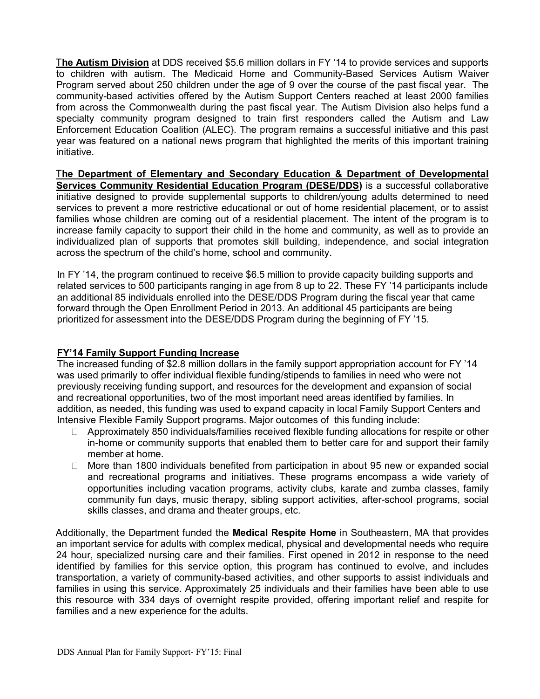The Autism Division at DDS received \$5.6 million dollars in FY '14 to provide services and supports to children with autism. The Medicaid Home and Community-Based Services Autism Waiver Program served about 250 children under the age of 9 over the course of the past fiscal year. The community-based activities offered by the Autism Support Centers reached at least 2000 families from across the Commonwealth during the past fiscal year. The Autism Division also helps fund a specialty community program designed to train first responders called the Autism and Law Enforcement Education Coalition (ALEC}. The program remains a successful initiative and this past year was featured on a national news program that highlighted the merits of this important training initiative.

The Department of Elementary and Secondary Education & Department of Developmental Services Community Residential Education Program (DESE/DDS) is a successful collaborative initiative designed to provide supplemental supports to children/young adults determined to need services to prevent a more restrictive educational or out of home residential placement, or to assist families whose children are coming out of a residential placement. The intent of the program is to increase family capacity to support their child in the home and community, as well as to provide an individualized plan of supports that promotes skill building, independence, and social integration across the spectrum of the child's home, school and community.

In FY '14, the program continued to receive \$6.5 million to provide capacity building supports and related services to 500 participants ranging in age from 8 up to 22. These FY '14 participants include an additional 85 individuals enrolled into the DESE/DDS Program during the fiscal year that came forward through the Open Enrollment Period in 2013. An additional 45 participants are being prioritized for assessment into the DESE/DDS Program during the beginning of FY '15.

# FY'14 Family Support Funding Increase

The increased funding of \$2.8 million dollars in the family support appropriation account for FY '14 was used primarily to offer individual flexible funding/stipends to families in need who were not previously receiving funding support, and resources for the development and expansion of social and recreational opportunities, two of the most important need areas identified by families. In addition, as needed, this funding was used to expand capacity in local Family Support Centers and Intensive Flexible Family Support programs. Major outcomes of this funding include:

 Approximately 850 individuals/families received flexible funding allocations for respite or other in-home or community supports that enabled them to better care for and support their family member at home.

 More than 1800 individuals benefited from participation in about 95 new or expanded social and recreational programs and initiatives. These programs encompass a wide variety of opportunities including vacation programs, activity clubs, karate and zumba classes, family community fun days, music therapy, sibling support activities, after-school programs, social skills classes, and drama and theater groups, etc.

Additionally, the Department funded the **Medical Respite Home** in Southeastern, MA that provides an important service for adults with complex medical, physical and developmental needs who require 24 hour, specialized nursing care and their families. First opened in 2012 in response to the need identified by families for this service option, this program has continued to evolve, and includes transportation, a variety of community-based activities, and other supports to assist individuals and families in using this service. Approximately 25 individuals and their families have been able to use this resource with 334 days of overnight respite provided, offering important relief and respite for families and a new experience for the adults.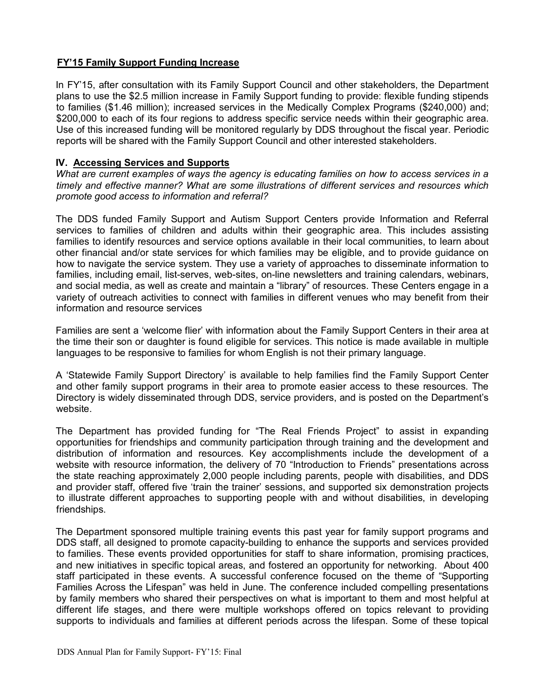# FY'15 Family Support Funding Increase

In FY'15, after consultation with its Family Support Council and other stakeholders, the Department plans to use the \$2.5 million increase in Family Support funding to provide: flexible funding stipends to families (\$1.46 million); increased services in the Medically Complex Programs (\$240,000) and; \$200,000 to each of its four regions to address specific service needs within their geographic area. Use of this increased funding will be monitored regularly by DDS throughout the fiscal year. Periodic reports will be shared with the Family Support Council and other interested stakeholders.

# IV. Accessing Services and Supports

What are current examples of ways the agency is educating families on how to access services in a timely and effective manner? What are some illustrations of different services and resources which promote good access to information and referral?

The DDS funded Family Support and Autism Support Centers provide Information and Referral services to families of children and adults within their geographic area. This includes assisting families to identify resources and service options available in their local communities, to learn about other financial and/or state services for which families may be eligible, and to provide guidance on how to navigate the service system. They use a variety of approaches to disseminate information to families, including email, list-serves, web-sites, on-line newsletters and training calendars, webinars, and social media, as well as create and maintain a "library" of resources. These Centers engage in a variety of outreach activities to connect with families in different venues who may benefit from their information and resource services

Families are sent a 'welcome flier' with information about the Family Support Centers in their area at the time their son or daughter is found eligible for services. This notice is made available in multiple languages to be responsive to families for whom English is not their primary language.

A 'Statewide Family Support Directory' is available to help families find the Family Support Center and other family support programs in their area to promote easier access to these resources. The Directory is widely disseminated through DDS, service providers, and is posted on the Department's website.

The Department has provided funding for "The Real Friends Project" to assist in expanding opportunities for friendships and community participation through training and the development and distribution of information and resources. Key accomplishments include the development of a website with resource information, the delivery of 70 "Introduction to Friends" presentations across the state reaching approximately 2,000 people including parents, people with disabilities, and DDS and provider staff, offered five 'train the trainer' sessions, and supported six demonstration projects to illustrate different approaches to supporting people with and without disabilities, in developing friendships.

The Department sponsored multiple training events this past year for family support programs and DDS staff, all designed to promote capacity-building to enhance the supports and services provided to families. These events provided opportunities for staff to share information, promising practices, and new initiatives in specific topical areas, and fostered an opportunity for networking. About 400 staff participated in these events. A successful conference focused on the theme of "Supporting Families Across the Lifespan" was held in June. The conference included compelling presentations by family members who shared their perspectives on what is important to them and most helpful at different life stages, and there were multiple workshops offered on topics relevant to providing supports to individuals and families at different periods across the lifespan. Some of these topical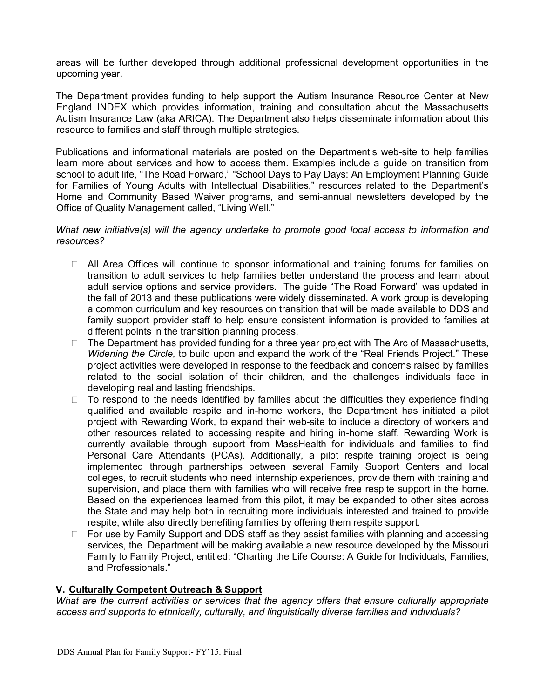areas will be further developed through additional professional development opportunities in the upcoming year.

The Department provides funding to help support the Autism Insurance Resource Center at New England INDEX which provides information, training and consultation about the Massachusetts Autism Insurance Law (aka ARICA). The Department also helps disseminate information about this resource to families and staff through multiple strategies.

Publications and informational materials are posted on the Department's web-site to help families learn more about services and how to access them. Examples include a guide on transition from school to adult life, "The Road Forward," "School Days to Pay Days: An Employment Planning Guide for Families of Young Adults with Intellectual Disabilities," resources related to the Department's Home and Community Based Waiver programs, and semi-annual newsletters developed by the Office of Quality Management called, "Living Well."

#### What new initiative(s) will the agency undertake to promote good local access to information and resources?

 All Area Offices will continue to sponsor informational and training forums for families on transition to adult services to help families better understand the process and learn about adult service options and service providers. The guide "The Road Forward" was updated in the fall of 2013 and these publications were widely disseminated. A work group is developing a common curriculum and key resources on transition that will be made available to DDS and family support provider staff to help ensure consistent information is provided to families at different points in the transition planning process.

 The Department has provided funding for a three year project with The Arc of Massachusetts, Widening the Circle, to build upon and expand the work of the "Real Friends Project." These project activities were developed in response to the feedback and concerns raised by families related to the social isolation of their children, and the challenges individuals face in developing real and lasting friendships.

 To respond to the needs identified by families about the difficulties they experience finding qualified and available respite and in-home workers, the Department has initiated a pilot project with Rewarding Work, to expand their web-site to include a directory of workers and other resources related to accessing respite and hiring in-home staff. Rewarding Work is currently available through support from MassHealth for individuals and families to find Personal Care Attendants (PCAs). Additionally, a pilot respite training project is being implemented through partnerships between several Family Support Centers and local colleges, to recruit students who need internship experiences, provide them with training and supervision, and place them with families who will receive free respite support in the home. Based on the experiences learned from this pilot, it may be expanded to other sites across the State and may help both in recruiting more individuals interested and trained to provide respite, while also directly benefiting families by offering them respite support.

 For use by Family Support and DDS staff as they assist families with planning and accessing services, the Department will be making available a new resource developed by the Missouri Family to Family Project, entitled: "Charting the Life Course: A Guide for Individuals, Families, and Professionals."

#### V. Culturally Competent Outreach & Support

What are the current activities or services that the agency offers that ensure culturally appropriate access and supports to ethnically, culturally, and linguistically diverse families and individuals?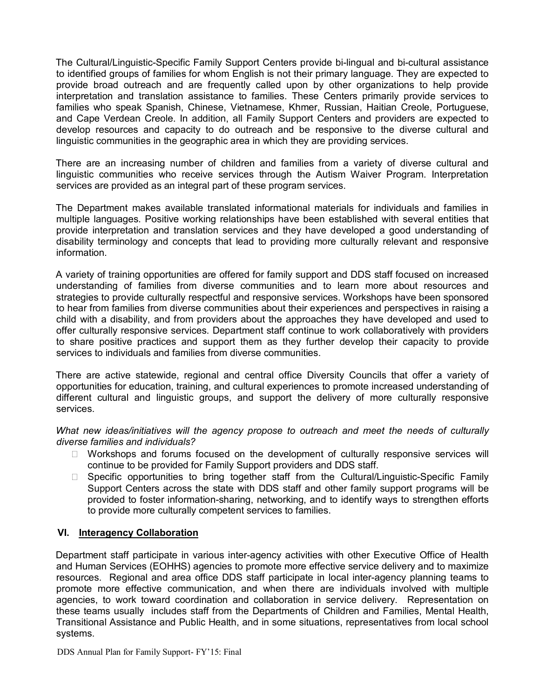The Cultural/Linguistic-Specific Family Support Centers provide bi-lingual and bi-cultural assistance to identified groups of families for whom English is not their primary language. They are expected to provide broad outreach and are frequently called upon by other organizations to help provide interpretation and translation assistance to families. These Centers primarily provide services to families who speak Spanish, Chinese, Vietnamese, Khmer, Russian, Haitian Creole, Portuguese, and Cape Verdean Creole. In addition, all Family Support Centers and providers are expected to develop resources and capacity to do outreach and be responsive to the diverse cultural and linguistic communities in the geographic area in which they are providing services.

There are an increasing number of children and families from a variety of diverse cultural and linguistic communities who receive services through the Autism Waiver Program. Interpretation services are provided as an integral part of these program services.

The Department makes available translated informational materials for individuals and families in multiple languages. Positive working relationships have been established with several entities that provide interpretation and translation services and they have developed a good understanding of disability terminology and concepts that lead to providing more culturally relevant and responsive information.

A variety of training opportunities are offered for family support and DDS staff focused on increased understanding of families from diverse communities and to learn more about resources and strategies to provide culturally respectful and responsive services. Workshops have been sponsored to hear from families from diverse communities about their experiences and perspectives in raising a child with a disability, and from providers about the approaches they have developed and used to offer culturally responsive services. Department staff continue to work collaboratively with providers to share positive practices and support them as they further develop their capacity to provide services to individuals and families from diverse communities.

There are active statewide, regional and central office Diversity Councils that offer a variety of opportunities for education, training, and cultural experiences to promote increased understanding of different cultural and linguistic groups, and support the delivery of more culturally responsive services.

What new ideas/initiatives will the agency propose to outreach and meet the needs of culturally diverse families and individuals?

 Workshops and forums focused on the development of culturally responsive services will continue to be provided for Family Support providers and DDS staff.

 Specific opportunities to bring together staff from the Cultural/Linguistic-Specific Family Support Centers across the state with DDS staff and other family support programs will be provided to foster information-sharing, networking, and to identify ways to strengthen efforts to provide more culturally competent services to families.

#### VI. Interagency Collaboration

Department staff participate in various inter-agency activities with other Executive Office of Health and Human Services (EOHHS) agencies to promote more effective service delivery and to maximize resources. Regional and area office DDS staff participate in local inter-agency planning teams to promote more effective communication, and when there are individuals involved with multiple agencies, to work toward coordination and collaboration in service delivery. Representation on these teams usually includes staff from the Departments of Children and Families, Mental Health, Transitional Assistance and Public Health, and in some situations, representatives from local school systems.

DDS Annual Plan for Family Support- FY'15: Final